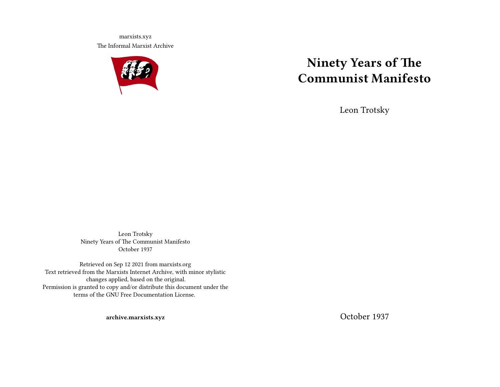marxists.xyz The Informal Marxist Archive



# **Ninety Years of The Communist Manifesto**

Leon Trotsky

Leon Trotsky Ninety Years of The Communist Manifesto October 1937

Retrieved on Sep 12 2021 from marxists.org Text retrieved from the Marxists Internet Archive, with minor stylistic changes applied, based on the original. Permission is granted to copy and/or distribute this document under the terms of the GNU Free Documentation License.

**archive.marxists.xyz**

October 1937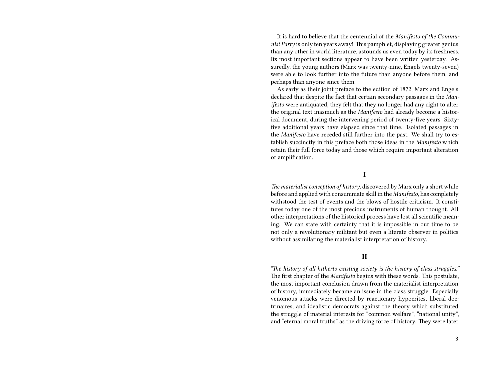It is hard to believe that the centennial of the *Manifesto of the Communist Party* is only ten years away! This pamphlet, displaying greater genius than any other in world literature, astounds us even today by its freshness. Its most important sections appear to have been written yesterday. Assuredly, the young authors (Marx was twenty-nine, Engels twenty-seven) were able to look further into the future than anyone before them, and perhaps than anyone since them.

As early as their joint preface to the edition of 1872, Marx and Engels declared that despite the fact that certain secondary passages in the *Manifesto* were antiquated, they felt that they no longer had any right to alter the original text inasmuch as the *Manifesto* had already become a historical document, during the intervening period of twenty-five years. Sixtyfive additional years have elapsed since that time. Isolated passages in the *Manifesto* have receded still further into the past. We shall try to establish succinctly in this preface both those ideas in the *Manifesto* which retain their full force today and those which require important alteration or amplification.

#### **I**

*The materialist conception of history*, discovered by Marx only a short while before and applied with consummate skill in the *Manifesto*, has completely withstood the test of events and the blows of hostile criticism. It constitutes today one of the most precious instruments of human thought. All other interpretations of the historical process have lost all scientific meaning. We can state with certainty that it is impossible in our time to be not only a revolutionary militant but even a literate observer in politics without assimilating the materialist interpretation of history.

#### **II**

*"The history of all hitherto existing society is the history of class struggles."* The first chapter of the *Manifesto* begins with these words. This postulate, the most important conclusion drawn from the materialist interpretation of history, immediately became an issue in the class struggle. Especially venomous attacks were directed by reactionary hypocrites, liberal doctrinaires, and idealistic democrats against the theory which substituted the struggle of material interests for "common welfare", "national unity", and "eternal moral truths" as the driving force of history. They were later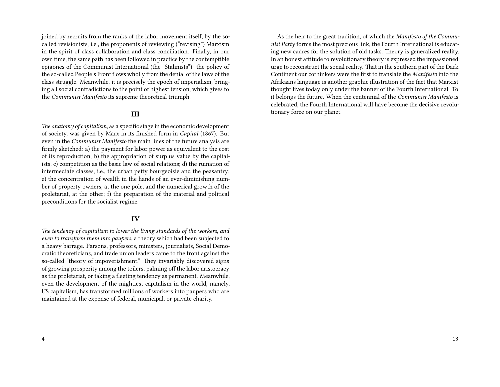joined by recruits from the ranks of the labor movement itself, by the socalled revisionists, i.e., the proponents of reviewing ("revising") Marxism in the spirit of class collaboration and class conciliation. Finally, in our own time, the same path has been followed in practice by the contemptible epigones of the Communist International (the "Stalinists"): the policy of the so-called People's Front flows wholly from the denial of the laws of the class struggle. Meanwhile, it is precisely the epoch of imperialism, bringing all social contradictions to the point of highest tension, which gives to the *Communist Manifesto* its supreme theoretical triumph.

## **III**

*The anatomy of capitalism*, as a specific stage in the economic development of society, was given by Marx in its finished form in *Capital* (1867). But even in the *Communist Manifesto* the main lines of the future analysis are firmly sketched: a) the payment for labor power as equivalent to the cost of its reproduction; b) the appropriation of surplus value by the capitalists; c) competition as the basic law of social relations; d) the ruination of intermediate classes, i.e., the urban petty bourgeoisie and the peasantry; e) the concentration of wealth in the hands of an ever-diminishing number of property owners, at the one pole, and the numerical growth of the proletariat, at the other; f) the preparation of the material and political preconditions for the socialist regime.

# **IV**

*The tendency of capitalism to lower the living standards of the workers, and even to transform them into paupers*, a theory which had been subjected to a heavy barrage. Parsons, professors, ministers, journalists, Social Democratic theoreticians, and trade union leaders came to the front against the so-called "theory of impoverishment." They invariably discovered signs of growing prosperity among the toilers, palming off the labor aristocracy as the proletariat, or taking a fleeting tendency as permanent. Meanwhile, even the development of the mightiest capitalism in the world, namely, US capitalism, has transformed millions of workers into paupers who are maintained at the expense of federal, municipal, or private charity.

As the heir to the great tradition, of which the *Manifesto of the Communist Party* forms the most precious link, the Fourth International is educating new cadres for the solution of old tasks. Theory is generalized reality. In an honest attitude to revolutionary theory is expressed the impassioned urge to reconstruct the social reality. That in the southern part of the Dark Continent our cothinkers were the first to translate the *Manifesto* into the Afrikaans language is another graphic illustration of the fact that Marxist thought lives today only under the banner of the Fourth International. To it belongs the future. When the centennial of the *Communist Manifesto* is celebrated, the Fourth International will have become the decisive revolutionary force on our planet.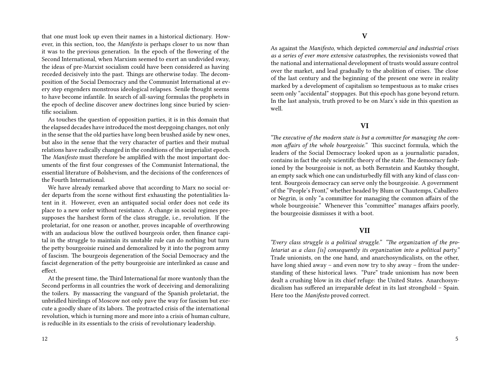that one must look up even their names in a historical dictionary. However, in this section, too, the *Manifesto* is perhaps closer to us now than it was to the previous generation. In the epoch of the flowering of the Second International, when Marxism seemed to exert an undivided sway, the ideas of pre-Marxist socialism could have been considered as having receded decisively into the past. Things are otherwise today. The decomposition of the Social Democracy and the Communist International at every step engenders monstrous ideological relapses. Senile thought seems to have become infantile. In search of all-saving formulas the prophets in the epoch of decline discover anew doctrines long since buried by scientific socialism.

As touches the question of opposition parties, it is in this domain that the elapsed decades have introduced the most deepgoing changes, not only in the sense that the old parties have long been brushed aside by new ones, but also in the sense that the very character of parties and their mutual relations have radically changed in the conditions of the imperialist epoch. The *Manifesto* must therefore be amplified with the most important documents of the first four congresses of the Communist International, the essential literature of Bolshevism, and the decisions of the conferences of the Fourth International.

We have already remarked above that according to Marx no social order departs from the scene without first exhausting the potentialities latent in it. However, even an antiquated social order does not cede its place to a new order without resistance. A change in social regimes presupposes the harshest form of the class struggle, i.e., revolution. If the proletariat, for one reason or another, proves incapable of overthrowing with an audacious blow the outlived bourgeois order, then finance capital in the struggle to maintain its unstable rule can do nothing but turn the petty bourgeoisie ruined and demoralized by it into the pogrom army of fascism. The bourgeois degeneration of the Social Democracy and the fascist degeneration of the petty bourgeoisie are interlinked as cause and effect.

At the present time, the Third International far more wantonly than the Second performs in all countries the work of deceiving and demoralizing the toilers. By massacring the vanguard of the Spanish proletariat, the unbridled hirelings of Moscow not only pave the way for fascism but execute a goodly share of its labors. The protracted crisis of the international revolution, which is turning more and more into a crisis of human culture, is reducible in its essentials to the crisis of revolutionary leadership.

As against the *Manifesto*, which depicted *commercial and industrial crises as a series of ever more extensive catastrophes*, the revisionists vowed that the national and international development of trusts would assure control over the market, and lead gradually to the abolition of crises. The close of the last century and the beginning of the present one were in reality marked by a development of capitalism so tempestuous as to make crises seem only "accidental" stoppages. But this epoch has gone beyond return. In the last analysis, truth proved to be on Marx's side in this question as well.

#### **VI**

*"The executive of the modern state is but a committee for managing the common affairs of the whole bourgeoisie."* This succinct formula, which the leaders of the Social Democracy looked upon as a journalistic paradox, contains in fact the only scientific theory of the state. The democracy fashioned by the bourgeoisie is not, as both Bernstein and Kautsky thought, an empty sack which one can undisturbedly fill with any kind of class content. Bourgeois democracy can serve only the bourgeoisie. A government of the "People's Front," whether headed by Blum or Chautemps, Caballero or Negrin, is only "a committee for managing the common affairs of the whole bourgeoisie." Whenever this "committee" manages affairs poorly, the bourgeoisie dismisses it with a boot.

#### **VII**

*"Every class struggle is a political struggle." "The organization of the proletariat as a class [is] consequently its organization into a political party."* Trade unionists, on the one hand, and anarchosyndicalists, on the other, have long shied away – and even now try to shy away – from the understanding of these historical laws. "Pure" trade unionism has now been dealt a crushing blow in its chief refuge: the United States. Anarchosyndicalism has suffered an irreparable defeat in its last stronghold – Spain. Here too the *Manifesto* proved correct.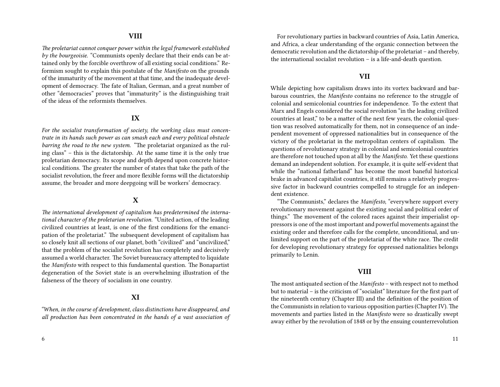*The proletariat cannot conquer power within the legal framework established by the bourgeoisie.* "Communists openly declare that their ends can be attained only by the forcible overthrow of all existing social conditions." Reformism sought to explain this postulate of the *Manifesto* on the grounds of the immaturity of the movement at that time, and the inadequate development of democracy. The fate of Italian, German, and a great number of other "democracies" proves that "immaturity" is the distinguishing trait of the ideas of the reformists themselves.

## **IX**

*For the socialist transformation of society, the working class must concentrate in its hands such power as can smash each and every political obstacle barring the road to the new system.* "The proletariat organized as the ruling class" – this is the dictatorship. At the same time it is the only true proletarian democracy. Its scope and depth depend upon concrete historical conditions. The greater the number of states that take the path of the socialist revolution, the freer and more flexible forms will the dictatorship assume, the broader and more deepgoing will be workers' democracy.

# **X**

*The international development of capitalism has predetermined the international character of the proletarian revolution.* "United action, of the leading civilized countries at least, is one of the first conditions for the emancipation of the proletariat." The subsequent development of capitalism has so closely knit all sections of our planet, both "civilized" and "uncivilized," that the problem of the socialist revolution has completely and decisively assumed a world character. The Soviet bureaucracy attempted to liquidate the *Manifesto* with respect to this fundamental question. The Bonapartist degeneration of the Soviet state is an overwhelming illustration of the falseness of the theory of socialism in one country.

## **XI**

*"When, in the course of development, class distinctions have disappeared, and all production has been concentrated in the hands of a vast association of*

For revolutionary parties in backward countries of Asia, Latin America, and Africa, a clear understanding of the organic connection between the democratic revolution and the dictatorship of the proletariat – and thereby, the international socialist revolution – is a life-and-death question.

# **VII**

While depicting how capitalism draws into its vortex backward and barbarous countries, the *Manifesto* contains no reference to the struggle of colonial and semicolonial countries for independence. To the extent that Marx and Engels considered the social revolution "in the leading civilized countries at least," to be a matter of the next few years, the colonial question was resolved automatically for them, not in consequence of an independent movement of oppressed nationalities but in consequence of the victory of the proletariat in the metropolitan centers of capitalism. The questions of revolutionary strategy in colonial and semicolonial countries are therefore not touched upon at all by the *Manifesto*. Yet these questions demand an independent solution. For example, it is quite self-evident that while the "national fatherland" has become the most baneful historical brake in advanced capitalist countries, it still remains a relatively progressive factor in backward countries compelled to struggle for an independent existence.

"The Communists," declares the *Manifesto*, "everywhere support every revolutionary movement against the existing social and political order of things." The movement of the colored races against their imperialist oppressors is one of the most important and powerful movements against the existing order and therefore calls for the complete, unconditional, and unlimited support on the part of the proletariat of the white race. The credit for developing revolutionary strategy for oppressed nationalities belongs primarily to Lenin.

## **VIII**

The most antiquated section of the *Manifesto* – with respect not to method but to material – is the criticism of "socialist" literature for the first part of the nineteenth century (Chapter III) and the definition of the position of the Communists in relation to various opposition parties (Chapter IV). The movements and parties listed in the *Manifesto* were so drastically swept away either by the revolution of 1848 or by the ensuing counterrevolution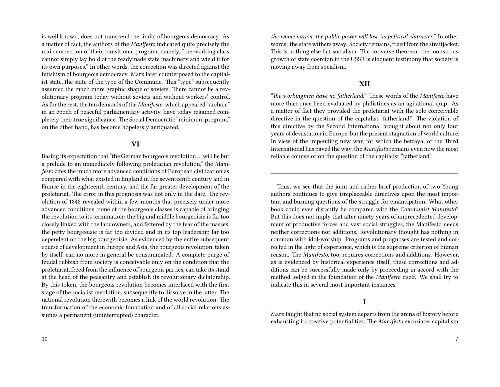is well known, does not transcend the limits of bourgeois democracy. As a matter of fact, the authors of the *Manifesto* indicated quite precisely the main correction of their transitional program, namely, "the working class cannot simply lay hold of the readymade state machinery and wield it for its own purposes." In other words, the correction was directed against the fetishism of bourgeois democracy. Marx later counterposed to the capitalist state, the state of the type of the Commune. This "type" subsequently assumed the much more graphic shape of soviets. There cannot be a revolutionary program today without soviets and without workers' control. As for the rest, the ten demands of the *Manifesto*, which appeared "archaic" in an epoch of peaceful parliamentary activity, have today regained completely their true significance. The Social Democratic "minimum program," on the other hand, has become hopelessly antiquated.

## **VI**

Basing its expectation that "the German bourgeois revolution … will be but a prelude to an immediately following proletarian revolution," the *Manifesto* cites the much more advanced conditions of European civilization as compared with what existed in England in the seventeenth century and in France in the eighteenth century, and the far greater development of the proletariat. The error in this prognosis was not only in the date. The revolution of 1848 revealed within a few months that precisely under more advanced conditions, none of the bourgeois classes is capable of bringing the revolution to its termination: the big and middle bourgeoisie is far too closely linked with the landowners, and fettered by the fear of the masses; the petty bourgeoisie is far too divided and in its top leadership far too dependent on the big bourgeoisie. As evidenced by the entire subsequent course of development in Europe and Asia, the bourgeois revolution, taken by itself, can no more in general be consummated. A complete purge of feudal rubbish from society is conceivable only on the condition that the proletariat, freed from the influence of bourgeois parties, can take its stand at the head of the peasantry and establish its revolutionary dictatorship. By this token, the bourgeois revolution becomes interlaced with the first stage of the socialist revolution, subsequently to dissolve in the latter. The national revolution therewith becomes a link of the world revolution. The transformation of the economic foundation and of all social relations assumes a permanent (uninterrupted) character.

*the whole nation, the public power will lose its political character."* In other words: the state withers away. Society remains, freed from the straitjacket. This is nothing else but socialism. The converse theorem: the monstrous growth of state coercion in the USSR is eloquent testimony that society is moving away from socialism.

## **XII**

*"The workingmen have no fatherland."* These words of the *Manifesto* have more than once been evaluated by philistines as an agitational quip. As a matter of fact they provided the proletariat with the sole conceivable directive in the question of the capitalist "fatherland." The violation of this directive by the Second International brought about not only four years of devastation in Europe, but the present stagnation of world culture. In view of the impending new war, for which the betrayal of the Third International has paved the way, the *Manifesto* remains even now the most reliable counselor on the question of the capitalist "fatherland."

Thus, we see that the joint and rather brief production of two Young authors continues to give irreplaceable directives upon the most important and burning questions of the struggle for emancipation. What other book could even distantly be compared with the *Communist Manifesto*? But this does not imply that after ninety years of unprecedented development of productive forces and vast social struggles, the Manifesto needs neither corrections nor additions. Revolutionary thought has nothing in common with idol-worship. Programs and prognoses are tested and corrected in the light of experience, which is the supreme criterion of human reason. The *Manifesto*, too, requires corrections and additions. However, as is evidenced by historical experience itself, these corrections and additions can be successfully made only by proceeding in accord with the method lodged in the foundation of the *Manifesto* itself. We shall try to indicate this in several most important instances.

## **I**

Marx taught that no social system departs from the arena of history before exhausting its creative potentialities. The *Manifesto* excoriates capitalism